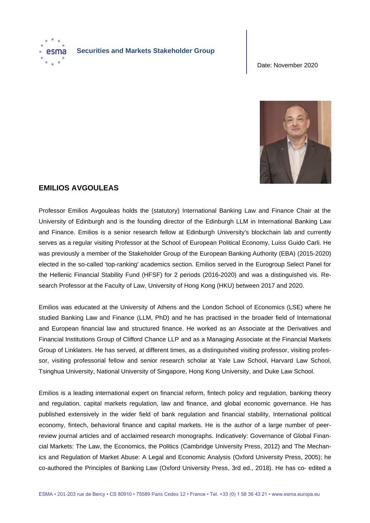

## **Securities and Markets Stakeholder Group**

Date: November 2020



## **EMILIOS AVGOULEAS**

Professor Emilios Avgouleas holds the (statutory) International Banking Law and Finance Chair at the University of Edinburgh and is the founding director of the Edinburgh LLM in International Banking Law and Finance. Emilios is a senior research fellow at Edinburgh University's blockchain lab and currently serves as a regular visiting Professor at the School of European Political Economy, Luiss Guido Carli. He was previously a member of the Stakeholder Group of the European Banking Authority (EBA) (2015-2020) elected in the so-called 'top-ranking' academics section. Emilios served in the Eurogroup Select Panel for the Hellenic Financial Stability Fund (HFSF) for 2 periods (2016-2020) and was a distinguished vis. Research Professor at the Faculty of Law, University of Hong Kong (HKU) between 2017 and 2020.

Emilios was educated at the University of Athens and the London School of Economics (LSE) where he studied Banking Law and Finance (LLM, PhD) and he has practised in the broader field of International and European financial law and structured finance. He worked as an Associate at the Derivatives and Financial Institutions Group of Clifford Chance LLP and as a Managing Associate at the Financial Markets Group of Linklaters. He has served, at different times, as a distinguished visiting professor, visiting professor, visiting professorial fellow and senior research scholar at Yale Law School, Harvard Law School, Tsinghua University, National University of Singapore, Hong Kong University, and Duke Law School.

Emilios is a leading international expert on financial reform, fintech policy and regulation, banking theory and regulation, capital markets regulation, law and finance, and global economic governance. He has published extensively in the wider field of bank regulation and financial stability, International political economy, fintech, behavioral finance and capital markets. He is the author of a large number of peerreview journal articles and of acclaimed research monographs. Indicatively: Governance of Global Financial Markets: The Law, the Economics, the Politics (Cambridge University Press, 2012) and The Mechanics and Regulation of Market Abuse: A Legal and Economic Analysis (Oxford University Press, 2005); he co-authored the Principles of Banking Law (Oxford University Press, 3rd ed., 2018). He has co- edited a